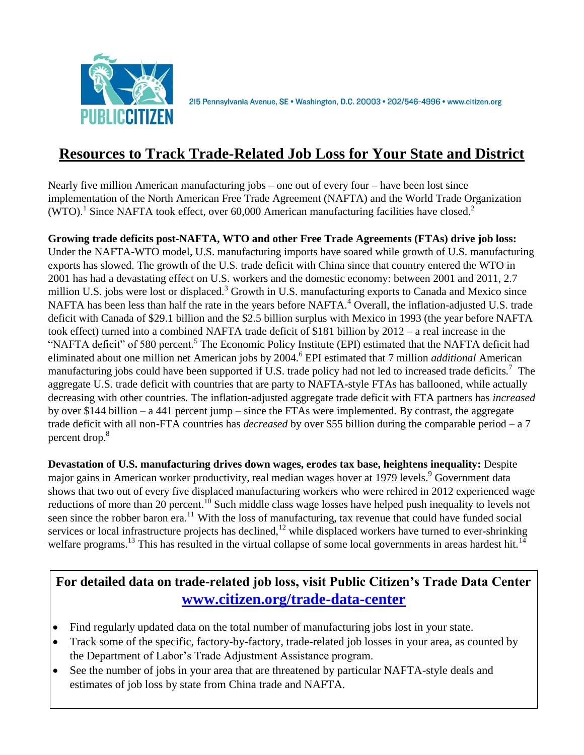

2I5 Pennsylvania Avenue, SE · Washington, D.C. 20003 · 202/546-4996 · www.citizen.org

## **Resources to Track Trade-Related Job Loss for Your State and District**

Nearly five million American manufacturing jobs – one out of every four – have been lost since implementation of the North American Free Trade Agreement (NAFTA) and the World Trade Organization  $(WTO)$ .<sup>1</sup> Since NAFTA took effect, over 60,000 American manufacturing facilities have closed.<sup>2</sup>

**Growing trade deficits post-NAFTA, WTO and other Free Trade Agreements (FTAs) drive job loss:**  Under the NAFTA-WTO model, U.S. manufacturing imports have soared while growth of U.S. manufacturing exports has slowed. The growth of the U.S. trade deficit with China since that country entered the WTO in 2001 has had a devastating effect on U.S. workers and the domestic economy: between 2001 and 2011, 2.7 million U.S. jobs were lost or displaced.<sup>3</sup> Growth in U.S. manufacturing exports to Canada and Mexico since NAFTA has been less than half the rate in the years before NAFTA.<sup>4</sup> Overall, the inflation-adjusted U.S. trade deficit with Canada of \$29.1 billion and the \$2.5 billion surplus with Mexico in 1993 (the year before NAFTA took effect) turned into a combined NAFTA trade deficit of \$181 billion by 2012 – a real increase in the "NAFTA deficit" of 580 percent.<sup>5</sup> The Economic Policy Institute (EPI) estimated that the NAFTA deficit had eliminated about one million net American jobs by 2004.<sup>6</sup> EPI estimated that 7 million *additional* American manufacturing jobs could have been supported if U.S. trade policy had not led to increased trade deficits.<sup>7</sup> The aggregate U.S. trade deficit with countries that are party to NAFTA-style FTAs has ballooned, while actually decreasing with other countries. The inflation-adjusted aggregate trade deficit with FTA partners has *increased* by over \$144 billion – a 441 percent jump – since the FTAs were implemented. By contrast, the aggregate trade deficit with all non-FTA countries has *decreased* by over \$55 billion during the comparable period – a 7 percent drop.<sup>8</sup>

**Devastation of U.S. manufacturing drives down wages, erodes tax base, heightens inequality:** Despite major gains in American worker productivity, real median wages hover at 1979 levels.<sup>9</sup> Government data shows that two out of every five displaced manufacturing workers who were rehired in 2012 experienced wage reductions of more than 20 percent.<sup>10</sup> Such middle class wage losses have helped push inequality to levels not seen since the robber baron era.<sup>11</sup> With the loss of manufacturing, tax revenue that could have funded social services or local infrastructure projects has declined, $12$  while displaced workers have turned to ever-shrinking welfare programs.<sup>13</sup> This has resulted in the virtual collapse of some local governments in areas hardest hit.<sup>14</sup>

## **For detailed data on trade-related job loss, visit Public Citizen's Trade Data Center [www.citizen.org/trade-data-center](http://www.citizen.org/trade-data-center)**

- Find regularly updated data on the total number of manufacturing jobs lost in your state.
- Track some of the specific, factory-by-factory, trade-related job losses in your area, as counted by the Department of Labor's Trade Adjustment Assistance program.
- See the number of jobs in your area that are threatened by particular NAFTA-style deals and estimates of job loss by state from China trade and NAFTA.